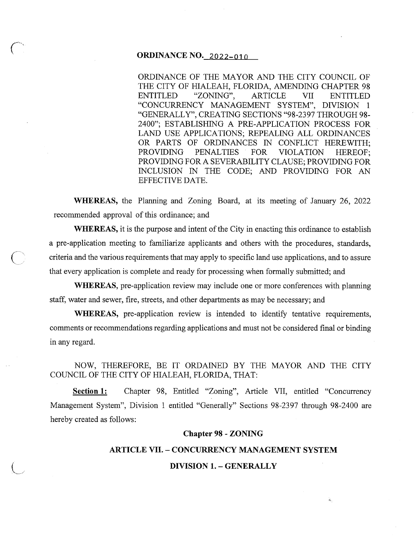# **ORDINANCE NO. 2022-010**

ORDINANCE OF THE MAYOR AND THE CITY COUNCIL OF THE CITY OF HIALEAH, FLORIDA, AMENDING CHAPTER 98 ENTITLED "ZONING", ARTICLE VII ENTITLED "CONCURRENCY MANAGEMENT SYSTEM", DIVISION 1 "GENERALLY", CREATING SECTIONS "98-2397 THROUGH 98- 2400"; ESTABLISHING A PRE-APPLICATION PROCESS FOR LAND USE APPLICATIONS; REPEALING ALL ORDINANCES OR PARTS OF ORDINANCES IN CONFLICT HEREWITH; PROVIDING PENALTIES FOR VIOLATION HEREOF; PROVIDING FOR A SEVERABILITY CLAUSE; PROVIDING FOR INCLUSION IN THE CODE; AND PROVIDING FOR AN EFFECTIVE DATE.

**WHEREAS,** the Planning and Zoning Board, at its meeting of January 26, 2022 recommended approval of this ordinance; and

**WHEREAS,** it is the purpose and intent of the City in enacting this ordinance to establish a pre-application meeting to familiarize applicants and others with the procedures, standards, criteria and the various requirements that may apply to specific land use applications, and to assure that every application is complete and ready for processing when formally submitted; and

**WHEREAS,** pre-application review may include one or more conferences with planning staff, water and sewer, fire, streets, and other departments as may be necessary; and

**WHEREAS,** pre-application review is intended to identify tentative requirements, comments or recommendations regarding applications and must not be considered final or binding in any regard.

NOW, THEREFORE, BE IT ORDAINED BY THE MAYOR AND THE CITY COUNCIL OF THE CITY OF HIALEAH, FLORIDA, THAT:

**Section 1:** Chapter 98, Entitled "Zoning", Article VII, entitled "Concurrency Management System", Division 1 entitled "Generally" Sections 98-2397 through 98-2400 are hereby created as follows:

### **Chapter 98 - ZONING**

### **ARTICLE** VII. - **CONCURRENCY MANAGEMENT SYSTEM**

## **DIVISION 1. - GENERALLY**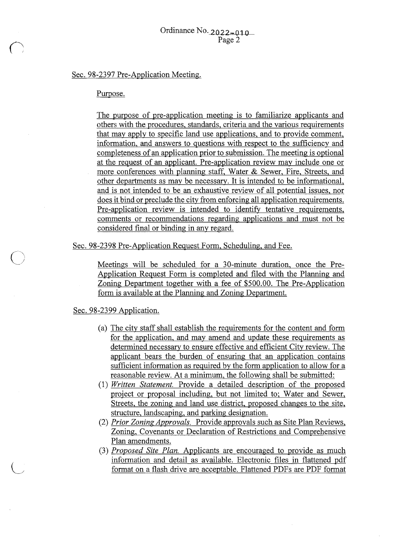# Sec. 98-2397 Pre-Application Meeting.

## Purpose.

The purpose of pre-application meeting is to familiarize applicants and others with the procedures, standards, criteria and the various requirements that may apply to specific land use applications, and to provide comment, information, and answers to questions with respect to the sufficiency and completeness of an application prior to submission. The meeting is optional at the request of an applicant. Pre-application review may include one or more conferences with planning staff, Water & Sewer, Fire, Streets, and other departments as may be necessary. It is intended to be informational, and is not intended to be an exhaustive review of all potential issues, nor does it bind or preclude the city from enforcing all application requirements. Pre-application review is intended to identify tentative requirements, comments or recommendations regarding applications and must not be considered final or binding in any regard.

Sec. 98-2398 Pre-Application Request Form, Scheduling, and Fee.

Meetings will be scheduled for a 30-minute duration, once the Pre-Application Request Form is completed and filed with the Planning and Zoning Department together with a fee of \$500.00. The Pre-Application form is available at the Planning and Zoning Department.

#### Sec. 98-2399 Application.

 $\bigcirc$ 

 $\bigcup$ 

- (a) The city staff shall establish the requirements for the content and form for the application, and may amend and update these requirements as determined necessary to ensure effective and efficient City review. The applicant bears the burden of ensuring that an application contains sufficient information as required by the form application to allow for a reasonable review. At a minimum, the following shall be submitted:
- (1) *Written Statement.* Provide a detailed description of the proposed project or proposal including, but not limited to; Water and Sewer, Streets, the zoning and land use district, proposed changes to the site, structure, landscaping, and parking designation.
- (2) *Prior Zoning Approvals.* Provide approvals such as Site Plan Reviews, Zoning, Covenants or Declaration of Restrictions and Comprehensive Plan amendments.
- (3) *Proposed Site Plan.* Applicants are encouraged to provide as much information and detail as available. Electronic files in flattened pdf format on a flash drive are acceptable. Flattened PDFs are PDF format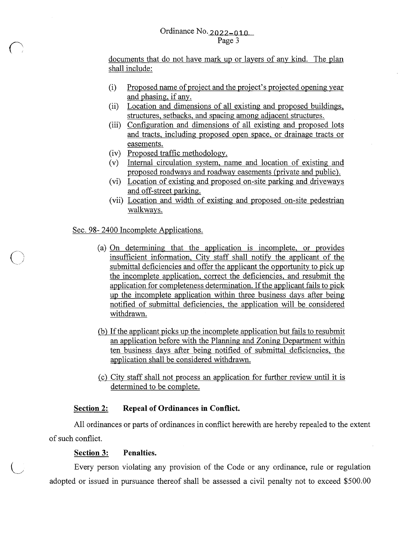# Ordinance No. 2022-010 Page 3

documents that do not have mark up or layers of any kind. The plan shall include:

- (i) Proposed name of project and the project's projected opening year and phasing, if any.
- (ii) Location and dimensions of all existing and proposed buildings, structures, setbacks, and spacing among adjacent structures.
- (iii) Configuration and dimensions of all existing and proposed lots and tracts, including proposed open space, or drainage tracts or easements.
- (iv) Proposed traffic methodology.
- (v) Internal circulation system, name and location of existing and proposed roadways and roadway easements (private and public).
- (vi) Location of existing and proposed on-site parking and driveways and off-street parking.
- (vii) Location and width of existing and proposed on-site pedestrian walkways.

## Sec. 98- 2400 Incomplete Applications.

*(\_)* 

 $\bigcup$ 

- (a) On determining that the application is incomplete, or provides insufficient information, City staff shall notify the applicant of the submittal deficiencies and offer the applicant the opportunity to pick up the incomplete application, correct the deficiencies, and resubmit the application for completeness determination. If the applicant fails to pick up the incomplete application within three business days after being notified of submittal deficiencies, the application will be considered withdrawn.
- (b) If the applicant picks up the incomplete application but fails to resubmit an application before with the Planning and Zoning Department within ten business days after being notified of submittal deficiencies, the application shall be considered withdrawn.
- (c) City staff shall not process an application for further review until it is determined to be complete.

### **Section 2: Repeal of Ordinances in Conflict.**

All ordinances or parts of ordinances in conflict herewith are hereby repealed to the extent of such conflict.

### **Section 3: Penalties.**

Every person violating any provision of the Code or any ordinance, rule or regulation adopted or issued in pursuance thereof shall be assessed a civil penalty not to exceed \$500.00